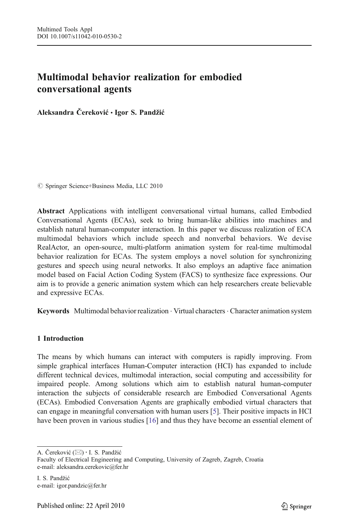# Multimodal behavior realization for embodied conversational agents

Aleksandra Čereković & Igor S. Pandžić

 $\oslash$  Springer Science+Business Media, LLC 2010

Abstract Applications with intelligent conversational virtual humans, called Embodied Conversational Agents (ECAs), seek to bring human-like abilities into machines and establish natural human-computer interaction. In this paper we discuss realization of ECA multimodal behaviors which include speech and nonverbal behaviors. We devise RealActor, an open-source, multi-platform animation system for real-time multimodal behavior realization for ECAs. The system employs a novel solution for synchronizing gestures and speech using neural networks. It also employs an adaptive face animation model based on Facial Action Coding System (FACS) to synthesize face expressions. Our aim is to provide a generic animation system which can help researchers create believable and expressive ECAs.

Keywords Multimodal behavior realization . Virtual characters . Character animation system

# 1 Introduction

The means by which humans can interact with computers is rapidly improving. From simple graphical interfaces Human-Computer interaction (HCI) has expanded to include different technical devices, multimodal interaction, social computing and accessibility for impaired people. Among solutions which aim to establish natural human-computer interaction the subjects of considerable research are Embodied Conversational Agents (ECAs). Embodied Conversation Agents are graphically embodied virtual characters that can engage in meaningful conversation with human users [\[5\]](#page-18-0). Their positive impacts in HCI have been proven in various studies [\[16\]](#page-18-0) and thus they have become an essential element of

A. <sup>Č</sup>erekovi<sup>ć</sup> (*\**) : I. S. Pandži<sup>ć</sup>

Faculty of Electrical Engineering and Computing, University of Zagreb, Zagreb, Croatia e-mail: aleksandra.cerekovic@fer.hr

I. S. Pandžić e-mail: igor.pandzic@fer.hr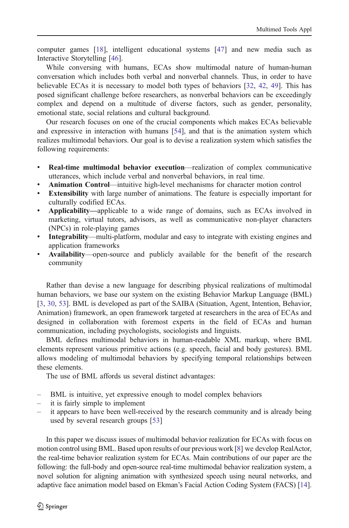computer games [[18](#page-19-0)], intelligent educational systems [\[47\]](#page-20-0) and new media such as Interactive Storytelling [\[46](#page-20-0)].

While conversing with humans, ECAs show multimodal nature of human-human conversation which includes both verbal and nonverbal channels. Thus, in order to have believable ECAs it is necessary to model both types of behaviors [\[32,](#page-19-0) [42](#page-19-0), [49\]](#page-20-0). This has posed significant challenge before researchers, as nonverbal behaviors can be exceedingly complex and depend on a multitude of diverse factors, such as gender, personality, emotional state, social relations and cultural background.

Our research focuses on one of the crucial components which makes ECAs believable and expressive in interaction with humans [\[54\]](#page-20-0), and that is the animation system which realizes multimodal behaviors. Our goal is to devise a realization system which satisfies the following requirements:

- Real-time multimodal behavior execution—realization of complex communicative utterances, which include verbal and nonverbal behaviors, in real time.
- & Animation Control—intuitive high-level mechanisms for character motion control
- Extensibility with large number of animations. The feature is especially important for culturally codified ECAs.
- & Applicability*—*applicable to a wide range of domains, such as ECAs involved in marketing, virtual tutors, advisors, as well as communicative non-player characters (NPCs) in role-playing games
- & Integrability—multi-platform, modular and easy to integrate with existing engines and application frameworks
- & Availability—open-source and publicly available for the benefit of the research community

Rather than devise a new language for describing physical realizations of multimodal human behaviors, we base our system on the existing Behavior Markup Language (BML) [[3,](#page-18-0) [30,](#page-19-0) [53](#page-20-0)]. BML is developed as part of the SAIBA (Situation, Agent, Intention, Behavior, Animation) framework, an open framework targeted at researchers in the area of ECAs and designed in collaboration with foremost experts in the field of ECAs and human communication, including psychologists, sociologists and linguists.

BML defines multimodal behaviors in human-readable XML markup, where BML elements represent various primitive actions (e.g. speech, facial and body gestures). BML allows modeling of multimodal behaviors by specifying temporal relationships between these elements.

The use of BML affords us several distinct advantages:

- BML is intuitive, yet expressive enough to model complex behaviors
- it is fairly simple to implement
- it appears to have been well-received by the research community and is already being used by several research groups [[53](#page-20-0)]

In this paper we discuss issues of multimodal behavior realization for ECAs with focus on motion control using BML. Based upon results of our previous work [\[8](#page-18-0)] we develop RealActor, the real-time behavior realization system for ECAs. Main contributions of our paper are the following: the full-body and open-source real-time multimodal behavior realization system, a novel solution for aligning animation with synthesized speech using neural networks, and adaptive face animation model based on Ekman's Facial Action Coding System (FACS) [\[14](#page-18-0)].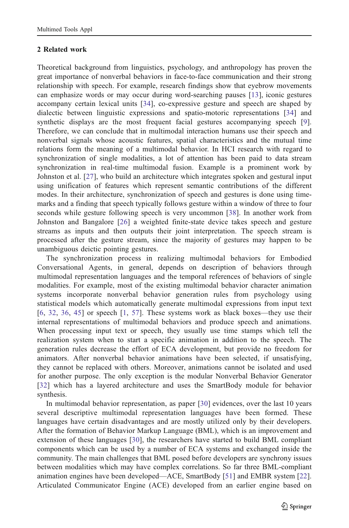### 2 Related work

Theoretical background from linguistics, psychology, and anthropology has proven the great importance of nonverbal behaviors in face-to-face communication and their strong relationship with speech. For example, research findings show that eyebrow movements can emphasize words or may occur during word-searching pauses [\[13](#page-18-0)], iconic gestures accompany certain lexical units [\[34\]](#page-19-0), co-expressive gesture and speech are shaped by dialectic between linguistic expressions and spatio-motoric representations [[34](#page-19-0)] and synthetic displays are the most frequent facial gestures accompanying speech [\[9](#page-18-0)]. Therefore, we can conclude that in multimodal interaction humans use their speech and nonverbal signals whose acoustic features, spatial characteristics and the mutual time relations form the meaning of a multimodal behavior. In HCI research with regard to synchronization of single modalities, a lot of attention has been paid to data stream synchronization in real-time multimodal fusion. Example is a prominent work by Johnston et al. [\[27](#page-19-0)], who build an architecture which integrates spoken and gestural input using unification of features which represent semantic contributions of the different modes. In their architecture, synchronization of speech and gestures is done using timemarks and a finding that speech typically follows gesture within a window of three to four seconds while gesture following speech is very uncommon [\[38\]](#page-19-0). In another work from Johnston and Bangalore [[26\]](#page-19-0) a weighted finite-state device takes speech and gesture streams as inputs and then outputs their joint interpretation. The speech stream is processed after the gesture stream, since the majority of gestures may happen to be unambiguous deictic pointing gestures.

The synchronization process in realizing multimodal behaviors for Embodied Conversational Agents, in general, depends on description of behaviors through multimodal representation languages and the temporal references of behaviors of single modalities. For example, most of the existing multimodal behavior character animation systems incorporate nonverbal behavior generation rules from psychology using statistical models which automatically generate multimodal expressions from input text [[6,](#page-18-0) [32,](#page-19-0) [36,](#page-19-0) [45\]](#page-20-0) or speech [[1,](#page-18-0) [57\]](#page-20-0). These systems work as black boxes—they use their internal representations of multimodal behaviors and produce speech and animations. When processing input text or speech, they usually use time stamps which tell the realization system when to start a specific animation in addition to the speech. The generation rules decrease the effort of ECA development, but provide no freedom for animators. After nonverbal behavior animations have been selected, if unsatisfying, they cannot be replaced with others. Moreover, animations cannot be isolated and used for another purpose. The only exception is the modular Nonverbal Behavior Generator [[32\]](#page-19-0) which has a layered architecture and uses the SmartBody module for behavior synthesis.

In multimodal behavior representation, as paper [\[30\]](#page-19-0) evidences, over the last 10 years several descriptive multimodal representation languages have been formed. These languages have certain disadvantages and are mostly utilized only by their developers. After the formation of Behavior Markup Language (BML), which is an improvement and extension of these languages [\[30\]](#page-19-0), the researchers have started to build BML compliant components which can be used by a number of ECA systems and exchanged inside the community. The main challenges that BML posed before developers are synchrony issues between modalities which may have complex correlations. So far three BML-compliant animation engines have been developed—ACE, SmartBody [[51](#page-20-0)] and EMBR system [\[22](#page-19-0)]. Articulated Communicator Engine (ACE) developed from an earlier engine based on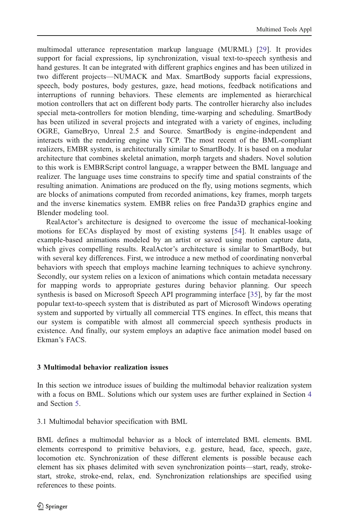multimodal utterance representation markup language (MURML) [\[29](#page-19-0)]. It provides support for facial expressions, lip synchronization, visual text-to-speech synthesis and hand gestures. It can be integrated with different graphics engines and has been utilized in two different projects—NUMACK and Max. SmartBody supports facial expressions, speech, body postures, body gestures, gaze, head motions, feedback notifications and interruptions of running behaviors. These elements are implemented as hierarchical motion controllers that act on different body parts. The controller hierarchy also includes special meta-controllers for motion blending, time-warping and scheduling. SmartBody has been utilized in several projects and integrated with a variety of engines, including OGRE, GameBryo, Unreal 2.5 and Source. SmartBody is engine-independent and interacts with the rendering engine via TCP. The most recent of the BML-compliant realizers, EMBR system, is architecturally similar to SmartBody. It is based on a modular architecture that combines skeletal animation, morph targets and shaders. Novel solution to this work is EMBRScript control language, a wrapper between the BML language and realizer. The language uses time constrains to specify time and spatial constraints of the resulting animation. Animations are produced on the fly, using motions segments, which are blocks of animations computed from recorded animations, key frames, morph targets and the inverse kinematics system. EMBR relies on free Panda3D graphics engine and Blender modeling tool.

RealActor's architecture is designed to overcome the issue of mechanical-looking motions for ECAs displayed by most of existing systems [[54\]](#page-20-0). It enables usage of example-based animations modeled by an artist or saved using motion capture data, which gives compelling results. RealActor's architecture is similar to SmartBody, but with several key differences. First, we introduce a new method of coordinating nonverbal behaviors with speech that employs machine learning techniques to achieve synchrony. Secondly, our system relies on a lexicon of animations which contain metadata necessary for mapping words to appropriate gestures during behavior planning. Our speech synthesis is based on Microsoft Speech API programming interface [\[35](#page-19-0)], by far the most popular text-to-speech system that is distributed as part of Microsoft Windows operating system and supported by virtually all commercial TTS engines. In effect, this means that our system is compatible with almost all commercial speech synthesis products in existence. And finally, our system employs an adaptive face animation model based on Ekman's FACS.

# 3 Multimodal behavior realization issues

In this section we introduce issues of building the multimodal behavior realization system with a focus on BML. Solutions which our system uses are further explained in Section [4](#page-5-0) and Section [5](#page-10-0).

3.1 Multimodal behavior specification with BML

BML defines a multimodal behavior as a block of interrelated BML elements. BML elements correspond to primitive behaviors, e.g. gesture, head, face, speech, gaze, locomotion etc. Synchronization of these different elements is possible because each element has six phases delimited with seven synchronization points—start, ready, strokestart, stroke, stroke-end, relax, end. Synchronization relationships are specified using references to these points.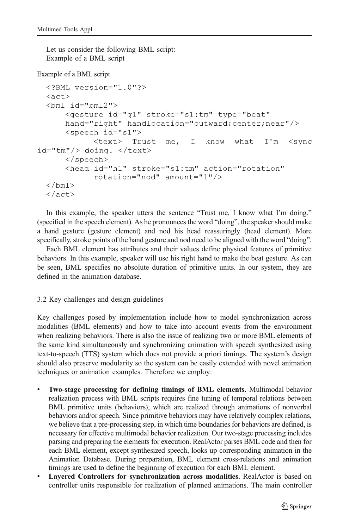<span id="page-4-0"></span>Let us consider the following BML script: Example of a BML script

```
Example of a BML script
```

```
\text{<?BMI version="1.0"?}\langle \text{act.} \rangle<bml id="bml2">
      <gesture id="q1" stroke="s1:tm" type="beat"
      hand="right" handlocation="outward; center; near"/>
      <speech id="s1">
                               me,
             <text>
                      Trust
                                     \mathbb Tknow what
                                                        I'm
                                                              <sync
id="tm"/> doing. </text>
      </speech>
      <head id="h1" stroke="s1:tm" action="rotation"
             rotation="nod" amount="1"/>
  \langle/bml>
  \langle/act>
```
In this example, the speaker utters the sentence "Trust me, I know what I'm doing." (specified in the speech element). As he pronounces the word "doing", the speaker should make a hand gesture (gesture element) and nod his head reassuringly (head element). More specifically, stroke points of the hand gesture and nod need to be aligned with the word "doing".

Each BML element has attributes and their values define physical features of primitive behaviors. In this example, speaker will use his right hand to make the beat gesture. As can be seen, BML specifies no absolute duration of primitive units. In our system, they are defined in the animation database.

# 3.2 Key challenges and design guidelines

Key challenges posed by implementation include how to model synchronization across modalities (BML elements) and how to take into account events from the environment when realizing behaviors. There is also the issue of realizing two or more BML elements of the same kind simultaneously and synchronizing animation with speech synthesized using text-to-speech (TTS) system which does not provide a priori timings. The system's design should also preserve modularity so the system can be easily extended with novel animation techniques or animation examples. Therefore we employ:

- Two-stage processing for defining timings of BML elements. Multimodal behavior realization process with BML scripts requires fine tuning of temporal relations between BML primitive units (behaviors), which are realized through animations of nonverbal behaviors and/or speech. Since primitive behaviors may have relatively complex relations, we believe that a pre-processing step, in which time boundaries for behaviors are defined, is necessary for effective multimodal behavior realization. Our two-stage processing includes parsing and preparing the elements for execution. RealActor parses BML code and then for each BML element, except synthesized speech, looks up corresponding animation in the Animation Database. During preparation, BML element cross-relations and animation timings are used to define the beginning of execution for each BML element.
- Layered Controllers for synchronization across modalities. RealActor is based on controller units responsible for realization of planned animations. The main controller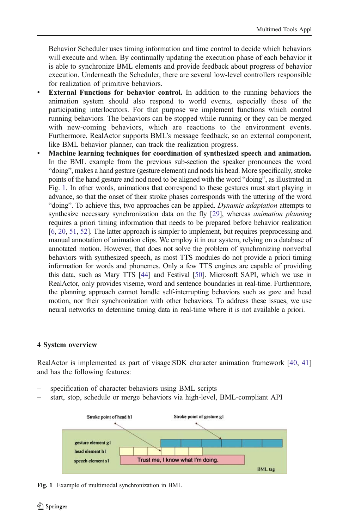<span id="page-5-0"></span>Behavior Scheduler uses timing information and time control to decide which behaviors will execute and when. By continually updating the execution phase of each behavior it is able to synchronize BML elements and provide feedback about progress of behavior execution. Underneath the Scheduler, there are several low-level controllers responsible for realization of primitive behaviors.

- External Functions for behavior control. In addition to the running behaviors the animation system should also respond to world events, especially those of the participating interlocutors. For that purpose we implement functions which control running behaviors. The behaviors can be stopped while running or they can be merged with new-coming behaviors, which are reactions to the environment events. Furthermore, RealActor supports BML's message feedback, so an external component, like BML behavior planner, can track the realization progress.
- Machine learning techniques for coordination of synthesized speech and animation. In the BML example from the previous sub-section the speaker pronounces the word "doing", makes a hand gesture (gesture element) and nods his head. More specifically, stroke points of the hand gesture and nod need to be aligned with the word "doing", as illustrated in Fig. 1. In other words, animations that correspond to these gestures must start playing in advance, so that the onset of their stroke phases corresponds with the uttering of the word "doing". To achieve this, two approaches can be applied. Dynamic adaptation attempts to synthesize necessary synchronization data on the fly [\[29\]](#page-19-0), whereas animation planning requires a priori timing information that needs to be prepared before behavior realization [\[6,](#page-18-0) [20,](#page-19-0) [51](#page-20-0), [52](#page-20-0)]. The latter approach is simpler to implement, but requires preprocessing and manual annotation of animation clips. We employ it in our system, relying on a database of annotated motion. However, that does not solve the problem of synchronizing nonverbal behaviors with synthesized speech, as most TTS modules do not provide a priori timing information for words and phonemes. Only a few TTS engines are capable of providing this data, such as Mary TTS [[44\]](#page-19-0) and Festival [[50\]](#page-20-0). Microsoft SAPI, which we use in RealActor, only provides viseme, word and sentence boundaries in real-time. Furthermore, the planning approach cannot handle self-interrupting behaviors such as gaze and head motion, nor their synchronization with other behaviors. To address these issues, we use neural networks to determine timing data in real-time where it is not available a priori.

### 4 System overview

RealActor is implemented as part of visage SDK character animation framework [[40](#page-19-0), [41\]](#page-19-0) and has the following features:

- specification of character behaviors using BML scripts
- start, stop, schedule or merge behaviors via high-level, BML-compliant API



Fig. 1 Example of multimodal synchronization in BML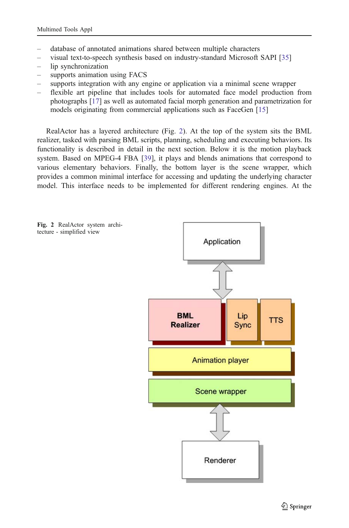- database of annotated animations shared between multiple characters
- visual text-to-speech synthesis based on industry-standard Microsoft SAPI [[35](#page-19-0)]
- lip synchronization

tecture - simplified view

- supports animation using FACS
- supports integration with any engine or application via a minimal scene wrapper
- flexible art pipeline that includes tools for automated face model production from photographs [[17](#page-18-0)] as well as automated facial morph generation and parametrization for models originating from commercial applications such as FaceGen [\[15\]](#page-18-0)

RealActor has a layered architecture (Fig. 2). At the top of the system sits the BML realizer, tasked with parsing BML scripts, planning, scheduling and executing behaviors. Its functionality is described in detail in the next section. Below it is the motion playback system. Based on MPEG-4 FBA [\[39\]](#page-19-0), it plays and blends animations that correspond to various elementary behaviors. Finally, the bottom layer is the scene wrapper, which provides a common minimal interface for accessing and updating the underlying character model. This interface needs to be implemented for different rendering engines. At the

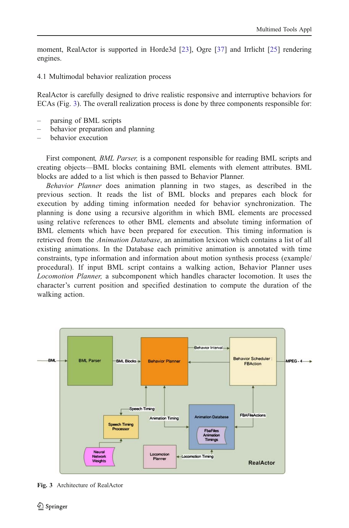moment, RealActor is supported in Horde3d [[23](#page-19-0)], Ogre [\[37\]](#page-19-0) and Irrlicht [\[25\]](#page-19-0) rendering engines.

# 4.1 Multimodal behavior realization process

RealActor is carefully designed to drive realistic responsive and interruptive behaviors for ECAs (Fig. 3). The overall realization process is done by three components responsible for:

- parsing of BML scripts
- behavior preparation and planning
- behavior execution

First component, *BML Parser*, is a component responsible for reading BML scripts and creating objects—BML blocks containing BML elements with element attributes. BML blocks are added to a list which is then passed to Behavior Planner.

Behavior Planner does animation planning in two stages, as described in the previous section. It reads the list of BML blocks and prepares each block for execution by adding timing information needed for behavior synchronization. The planning is done using a recursive algorithm in which BML elements are processed using relative references to other BML elements and absolute timing information of BML elements which have been prepared for execution. This timing information is retrieved from the Animation Database, an animation lexicon which contains a list of all existing animations. In the Database each primitive animation is annotated with time constraints, type information and information about motion synthesis process (example/ procedural). If input BML script contains a walking action, Behavior Planner uses Locomotion Planner, a subcomponent which handles character locomotion. It uses the character's current position and specified destination to compute the duration of the walking action.



Fig. 3 Architecture of RealActor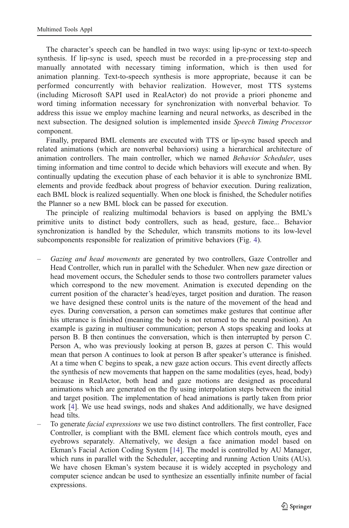The character's speech can be handled in two ways: using lip-sync or text-to-speech synthesis. If lip-sync is used, speech must be recorded in a pre-processing step and manually annotated with necessary timing information, which is then used for animation planning. Text-to-speech synthesis is more appropriate, because it can be performed concurrently with behavior realization. However, most TTS systems (including Microsoft SAPI used in RealActor) do not provide a priori phoneme and word timing information necessary for synchronization with nonverbal behavior. To address this issue we employ machine learning and neural networks, as described in the next subsection. The designed solution is implemented inside Speech Timing Processor component.

Finally, prepared BML elements are executed with TTS or lip-sync based speech and related animations (which are nonverbal behaviors) using a hierarchical architecture of animation controllers. The main controller, which we named Behavior Scheduler, uses timing information and time control to decide which behaviors will execute and when. By continually updating the execution phase of each behavior it is able to synchronize BML elements and provide feedback about progress of behavior execution. During realization, each BML block is realized sequentially. When one block is finished, the Scheduler notifies the Planner so a new BML block can be passed for execution.

The principle of realizing multimodal behaviors is based on applying the BML's primitive units to distinct body controllers, such as head, gesture, face... Behavior synchronization is handled by the Scheduler, which transmits motions to its low-level subcomponents responsible for realization of primitive behaviors (Fig. [4](#page-9-0)).

- Gazing and head movements are generated by two controllers, Gaze Controller and Head Controller, which run in parallel with the Scheduler. When new gaze direction or head movement occurs, the Scheduler sends to those two controllers parameter values which correspond to the new movement. Animation is executed depending on the current position of the character's head/eyes, target position and duration. The reason we have designed these control units is the nature of the movement of the head and eyes. During conversation, a person can sometimes make gestures that continue after his utterance is finished (meaning the body is not returned to the neural position). An example is gazing in multiuser communication; person A stops speaking and looks at person B. B then continues the conversation, which is then interrupted by person C. Person A, who was previously looking at person B, gazes at person C. This would mean that person A continues to look at person B after speaker's utterance is finished. At a time when C begins to speak, a new gaze action occurs. This event directly affects the synthesis of new movements that happen on the same modalities (eyes, head, body) because in RealActor, both head and gaze motions are designed as procedural animations which are generated on the fly using interpolation steps between the initial and target position. The implementation of head animations is partly taken from prior work [\[4\]](#page-18-0). We use head swings, nods and shakes And additionally, we have designed head tilts.
- To generate *facial expressions* we use two distinct controllers. The first controller, Face Controller, is compliant with the BML element face which controls mouth, eyes and eyebrows separately. Alternatively, we design a face animation model based on Ekman's Facial Action Coding System [\[14\]](#page-18-0). The model is controlled by AU Manager, which runs in parallel with the Scheduler, accepting and running Action Units (AUs). We have chosen Ekman's system because it is widely accepted in psychology and computer science andcan be used to synthesize an essentially infinite number of facial expressions.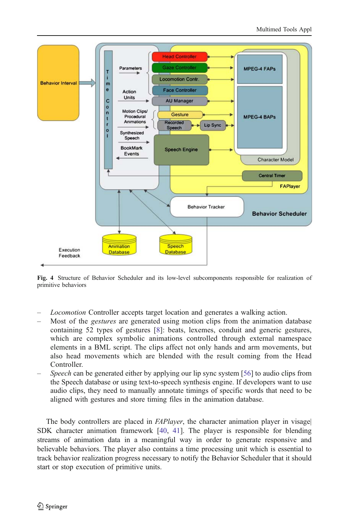<span id="page-9-0"></span>

Fig. 4 Structure of Behavior Scheduler and its low-level subcomponents responsible for realization of primitive behaviors

- Locomotion Controller accepts target location and generates a walking action.
- Most of the *gestures* are generated using motion clips from the animation database containing 52 types of gestures [[8\]](#page-18-0): beats, lexemes, conduit and generic gestures, which are complex symbolic animations controlled through external namespace elements in a BML script. The clips affect not only hands and arm movements, but also head movements which are blended with the result coming from the Head Controller.
- Speech can be generated either by applying our lip sync system [[56](#page-20-0)] to audio clips from the Speech database or using text-to-speech synthesis engine. If developers want to use audio clips, they need to manually annotate timings of specific words that need to be aligned with gestures and store timing files in the animation database.

The body controllers are placed in FAPlayer, the character animation player in visage SDK character animation framework [[40](#page-19-0), [41](#page-19-0)]. The player is responsible for blending streams of animation data in a meaningful way in order to generate responsive and believable behaviors. The player also contains a time processing unit which is essential to track behavior realization progress necessary to notify the Behavior Scheduler that it should start or stop execution of primitive units.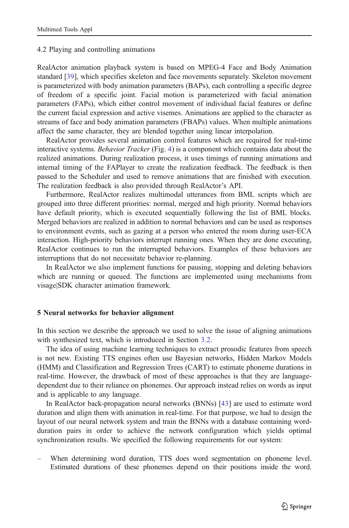#### <span id="page-10-0"></span>4.2 Playing and controlling animations

RealActor animation playback system is based on MPEG-4 Face and Body Animation standard [\[39](#page-19-0)], which specifies skeleton and face movements separately. Skeleton movement is parameterized with body animation parameters (BAPs), each controlling a specific degree of freedom of a specific joint. Facial motion is parameterized with facial animation parameters (FAPs), which either control movement of individual facial features or define the current facial expression and active visemes. Animations are applied to the character as streams of face and body animation parameters (FBAPs) values. When multiple animations affect the same character, they are blended together using linear interpolation.

RealActor provides several animation control features which are required for real-time interactive systems. Behavior Tracker (Fig. [4](#page-9-0)) is a component which contains data about the realized animations. During realization process, it uses timings of running animations and internal timing of the FAPlayer to create the realization feedback. The feedback is then passed to the Scheduler and used to remove animations that are finished with execution. The realization feedback is also provided through RealActor's API.

Furthermore, RealActor realizes multimodal utterances from BML scripts which are grouped into three different priorities: normal, merged and high priority. Normal behaviors have default priority, which is executed sequentially following the list of BML blocks. Merged behaviors are realized in addition to normal behaviors and can be used as responses to environment events, such as gazing at a person who entered the room during user-ECA interaction. High-priority behaviors interrupt running ones. When they are done executing, RealActor continues to run the interrupted behaviors. Examples of these behaviors are interruptions that do not necessitate behavior re-planning.

In RealActor we also implement functions for pausing, stopping and deleting behaviors which are running or queued. The functions are implemented using mechanisms from visage|SDK character animation framework.

### 5 Neural networks for behavior alignment

In this section we describe the approach we used to solve the issue of aligning animations with synthesized text, which is introduced in Section [3.2.](#page-4-0)

The idea of using machine learning techniques to extract prosodic features from speech is not new. Existing TTS engines often use Bayesian networks, Hidden Markov Models (HMM) and Classification and Regression Trees (CART) to estimate phoneme durations in real-time. However, the drawback of most of these approaches is that they are languagedependent due to their reliance on phonemes. Our approach instead relies on words as input and is applicable to any language.

In RealActor back-propagation neural networks (BNNs) [[43](#page-19-0)] are used to estimate word duration and align them with animation in real-time. For that purpose, we had to design the layout of our neural network system and train the BNNs with a database containing wordduration pairs in order to achieve the network configuration which yields optimal synchronization results. We specified the following requirements for our system:

– When determining word duration, TTS does word segmentation on phoneme level. Estimated durations of these phonemes depend on their positions inside the word.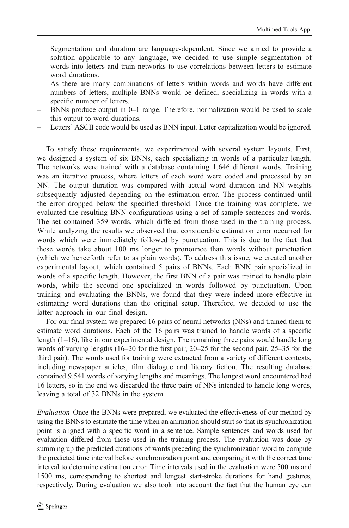Segmentation and duration are language-dependent. Since we aimed to provide a solution applicable to any language, we decided to use simple segmentation of words into letters and train networks to use correlations between letters to estimate word durations.

- As there are many combinations of letters within words and words have different numbers of letters, multiple BNNs would be defined, specializing in words with a specific number of letters.
- BNNs produce output in 0–1 range. Therefore, normalization would be used to scale this output to word durations.
- Letters' ASCII code would be used as BNN input. Letter capitalization would be ignored.

To satisfy these requirements, we experimented with several system layouts. First, we designed a system of six BNNs, each specializing in words of a particular length. The networks were trained with a database containing 1.646 different words. Training was an iterative process, where letters of each word were coded and processed by an NN. The output duration was compared with actual word duration and NN weights subsequently adjusted depending on the estimation error. The process continued until the error dropped below the specified threshold. Once the training was complete, we evaluated the resulting BNN configurations using a set of sample sentences and words. The set contained 359 words, which differed from those used in the training process. While analyzing the results we observed that considerable estimation error occurred for words which were immediately followed by punctuation. This is due to the fact that these words take about 100 ms longer to pronounce than words without punctuation (which we henceforth refer to as plain words). To address this issue, we created another experimental layout, which contained 5 pairs of BNNs. Each BNN pair specialized in words of a specific length. However, the first BNN of a pair was trained to handle plain words, while the second one specialized in words followed by punctuation. Upon training and evaluating the BNNs, we found that they were indeed more effective in estimating word durations than the original setup. Therefore, we decided to use the latter approach in our final design.

For our final system we prepared 16 pairs of neural networks (NNs) and trained them to estimate word durations. Each of the 16 pairs was trained to handle words of a specific length (1–16), like in our experimental design. The remaining three pairs would handle long words of varying lengths (16–20 for the first pair, 20–25 for the second pair, 25–35 for the third pair). The words used for training were extracted from a variety of different contexts, including newspaper articles, film dialogue and literary fiction. The resulting database contained 9.541 words of varying lengths and meanings. The longest word encountered had 16 letters, so in the end we discarded the three pairs of NNs intended to handle long words, leaving a total of 32 BNNs in the system.

Evaluation Once the BNNs were prepared, we evaluated the effectiveness of our method by using the BNNs to estimate the time when an animation should start so that its synchronization point is aligned with a specific word in a sentence. Sample sentences and words used for evaluation differed from those used in the training process. The evaluation was done by summing up the predicted durations of words preceding the synchronization word to compute the predicted time interval before synchronization point and comparing it with the correct time interval to determine estimation error. Time intervals used in the evaluation were 500 ms and 1500 ms, corresponding to shortest and longest start-stroke durations for hand gestures, respectively. During evaluation we also took into account the fact that the human eye can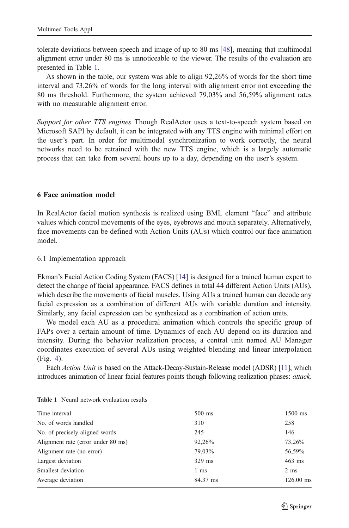tolerate deviations between speech and image of up to 80 ms [\[48\]](#page-20-0), meaning that multimodal alignment error under 80 ms is unnoticeable to the viewer. The results of the evaluation are presented in Table 1.

As shown in the table, our system was able to align 92,26% of words for the short time interval and 73,26% of words for the long interval with alignment error not exceeding the 80 ms threshold. Furthermore, the system achieved 79,03% and 56,59% alignment rates with no measurable alignment error.

Support for other TTS engines Though RealActor uses a text-to-speech system based on Microsoft SAPI by default, it can be integrated with any TTS engine with minimal effort on the user's part. In order for multimodal synchronization to work correctly, the neural networks need to be retrained with the new TTS engine, which is a largely automatic process that can take from several hours up to a day, depending on the user's system.

# 6 Face animation model

In RealActor facial motion synthesis is realized using BML element "face" and attribute values which control movements of the eyes, eyebrows and mouth separately. Alternatively, face movements can be defined with Action Units (AUs) which control our face animation model.

## 6.1 Implementation approach

Ekman's Facial Action Coding System (FACS) [[14\]](#page-18-0) is designed for a trained human expert to detect the change of facial appearance. FACS defines in total 44 different Action Units (AUs), which describe the movements of facial muscles. Using AUs a trained human can decode any facial expression as a combination of different AUs with variable duration and intensity. Similarly, any facial expression can be synthesized as a combination of action units.

We model each AU as a procedural animation which controls the specific group of FAPs over a certain amount of time. Dynamics of each AU depend on its duration and intensity. During the behavior realization process, a central unit named AU Manager coordinates execution of several AUs using weighted blending and linear interpolation (Fig. [4\)](#page-9-0).

Each Action Unit is based on the Attack-Decay-Sustain-Release model (ADSR) [\[11\]](#page-18-0), which introduces animation of linear facial features points though following realization phases: attack,

| Time interval                      | 500 ms         | $1500$ ms      |  |
|------------------------------------|----------------|----------------|--|
| No. of words handled               | 310            | 258            |  |
| No. of precisely aligned words     | 245            | 146            |  |
| Alignment rate (error under 80 ms) | 92,26%         | 73,26%         |  |
| Alignment rate (no error)          | 79,03%         | 56,59%         |  |
| Largest deviation                  | $329$ ms       | $463$ ms       |  |
| Smallest deviation                 | $1 \text{ ms}$ | $2 \text{ ms}$ |  |
| Average deviation                  | 84.37 ms       | $126.00$ ms    |  |
|                                    |                |                |  |

Table 1 Neural network evaluation results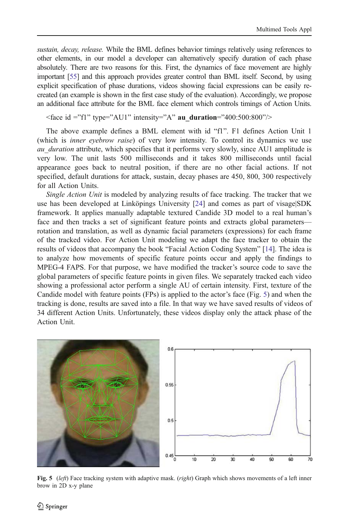<span id="page-13-0"></span>sustain, decay, release. While the BML defines behavior timings relatively using references to other elements, in our model a developer can alternatively specify duration of each phase absolutely. There are two reasons for this. First, the dynamics of face movement are highly important [[55\]](#page-20-0) and this approach provides greater control than BML itself. Second, by using explicit specification of phase durations, videos showing facial expressions can be easily recreated (an example is shown in the first case study of the evaluation). Accordingly, we propose an additional face attribute for the BML face element which controls timings of Action Units.

 $\langle$ face id ="f1" type="AU1" intensity="A" au duration="400:500:800"/>

The above example defines a BML element with id "f1". F1 defines Action Unit 1 (which is *inner eyebrow raise*) of very low intensity. To control its dynamics we use au duration attribute, which specifies that it performs very slowly, since AU1 amplitude is very low. The unit lasts 500 milliseconds and it takes 800 milliseconds until facial appearance goes back to neutral position, if there are no other facial actions. If not specified, default durations for attack, sustain, decay phases are 450, 800, 300 respectively for all Action Units.

Single Action Unit is modeled by analyzing results of face tracking. The tracker that we use has been developed at Linköpings University [[24](#page-19-0)] and comes as part of visage|SDK framework. It applies manually adaptable textured Candide 3D model to a real human's face and then tracks a set of significant feature points and extracts global parameters rotation and translation, as well as dynamic facial parameters (expressions) for each frame of the tracked video. For Action Unit modeling we adapt the face tracker to obtain the results of videos that accompany the book "Facial Action Coding System" [[14](#page-18-0)]. The idea is to analyze how movements of specific feature points occur and apply the findings to MPEG-4 FAPS. For that purpose, we have modified the tracker's source code to save the global parameters of specific feature points in given files. We separately tracked each video showing a professional actor perform a single AU of certain intensity. First, texture of the Candide model with feature points (FPs) is applied to the actor's face (Fig. 5) and when the tracking is done, results are saved into a file. In that way we have saved results of videos of 34 different Action Units. Unfortunately, these videos display only the attack phase of the Action Unit.



Fig. 5 (left) Face tracking system with adaptive mask. (right) Graph which shows movements of a left inner brow in 2D x-y plane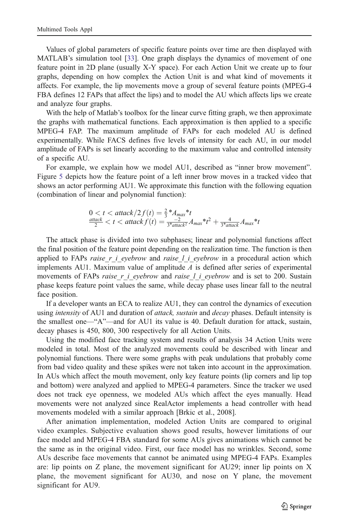Values of global parameters of specific feature points over time are then displayed with MATLAB's simulation tool [\[33\]](#page-19-0). One graph displays the dynamics of movement of one feature point in 2D plane (usually X-Y space). For each Action Unit we create up to four graphs, depending on how complex the Action Unit is and what kind of movements it affects. For example, the lip movements move a group of several feature points (MPEG-4 FBA defines 12 FAPs that affect the lips) and to model the AU which affects lips we create and analyze four graphs.

With the help of Matlab's toolbox for the linear curve fitting graph, we then approximate the graphs with mathematical functions. Each approximation is then applied to a specific MPEG-4 FAP. The maximum amplitude of FAPs for each modeled AU is defined experimentally. While FACS defines five levels of intensity for each AU, in our model amplitude of FAPs is set linearly according to the maximum value and controlled intensity of a specific AU.

For example, we explain how we model AU1, described as "inner brow movement". Figure [5](#page-13-0) depicts how the feature point of a left inner brow moves in a tracked video that shows an actor performing AU1. We approximate this function with the following equation (combination of linear and polynomial function):

$$
0 < t < attack/2f(t) = \frac{2}{3} * A_{max} * t
$$
  

$$
\frac{attack}{2} < t < attackf(t) = \frac{-2}{3 * attack} A_{max} * t^2 + \frac{4}{3 * attack} A_{max} * t
$$

The attack phase is divided into two subphases; linear and polynomial functions affect the final position of the feature point depending on the realization time. The function is then applied to FAPs raise r i eyebrow and raise  $l$  i eyebrow in a procedural action which implements AU1. Maximum value of amplitude  $A$  is defined after series of experimental movements of FAPs raise  $r_i$  eyebrow and raise  $l_i$  eyebrow and is set to 200. Sustain phase keeps feature point values the same, while decay phase uses linear fall to the neutral face position.

If a developer wants an ECA to realize AU1, they can control the dynamics of execution using *intensity* of AU1 and duration of *attack, sustain* and *decay* phases. Default intensity is the smallest one—"A"—and for AU1 its value is 40. Default duration for attack, sustain, decay phases is 450, 800, 300 respectively for all Action Units.

Using the modified face tracking system and results of analysis 34 Action Units were modeled in total. Most of the analyzed movements could be described with linear and polynomial functions. There were some graphs with peak undulations that probably come from bad video quality and these spikes were not taken into account in the approximation. In AUs which affect the mouth movement, only key feature points (lip corners and lip top and bottom) were analyzed and applied to MPEG-4 parameters. Since the tracker we used does not track eye openness, we modeled AUs which affect the eyes manually. Head movements were not analyzed since RealActor implements a head controller with head movements modeled with a similar approach [Brkic et al., 2008].

After animation implementation, modeled Action Units are compared to original video examples. Subjective evaluation shows good results, however limitations of our face model and MPEG-4 FBA standard for some AUs gives animations which cannot be the same as in the original video. First, our face model has no wrinkles. Second, some AUs describe face movements that cannot be animated using MPEG-4 FAPs. Examples are: lip points on Z plane, the movement significant for AU29; inner lip points on X plane, the movement significant for AU30, and nose on Y plane, the movement significant for AU9.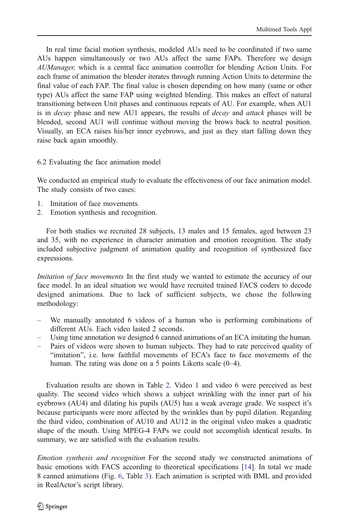In real time facial motion synthesis, modeled AUs need to be coordinated if two same AUs happen simultaneously or two AUs affect the same FAPs. Therefore we design AUManager, which is a central face animation controller for blending Action Units. For each frame of animation the blender iterates through running Action Units to determine the final value of each FAP. The final value is chosen depending on how many (same or other type) AUs affect the same FAP using weighted blending. This makes an effect of natural transitioning between Unit phases and continuous repeats of AU. For example, when AU1 is in *decay* phase and new AU1 appears, the results of *decay* and *attack* phases will be blended, second AU1 will continue without moving the brows back to neutral position. Visually, an ECA raises his/her inner eyebrows, and just as they start falling down they raise back again smoothly.

# 6.2 Evaluating the face animation model

We conducted an empirical study to evaluate the effectiveness of our face animation model. The study consists of two cases:

- 1. Imitation of face movements.
- 2. Emotion synthesis and recognition.

For both studies we recruited 28 subjects, 13 males and 15 females, aged between 23 and 35, with no experience in character animation and emotion recognition. The study included subjective judgment of animation quality and recognition of synthesized face expressions.

Imitation of face movements In the first study we wanted to estimate the accuracy of our face model. In an ideal situation we would have recruited trained FACS coders to decode designed animations. Due to lack of sufficient subjects, we chose the following methodology:

- We manually annotated 6 videos of a human who is performing combinations of different AUs. Each video lasted 2 seconds.
- Using time annotation we designed 6 canned animations of an ECA imitating the human.
- Pairs of videos were shown to human subjects. They had to rate perceived quality of "imitation", i.e. how faithful movements of ECA's face to face movements of the human. The rating was done on a 5 points Likerts scale  $(0-4)$ .

Evaluation results are shown in Table [2.](#page-16-0) Video 1 and video 6 were perceived as best quality. The second video which shows a subject wrinkling with the inner part of his eyebrows (AU4) and dilating his pupils (AU5) has a weak average grade. We suspect it's because participants were more affected by the wrinkles than by pupil dilation. Regarding the third video, combination of AU10 and AU12 in the original video makes a quadratic shape of the mouth. Using MPEG-4 FAPs we could not accomplish identical results. In summary, we are satisfied with the evaluation results.

Emotion synthesis and recognition For the second study we constructed animations of basic emotions with FACS according to theoretical specifications [\[14\]](#page-18-0). In total we made 8 canned animations (Fig. [6,](#page-16-0) Table [3](#page-17-0)). Each animation is scripted with BML and provided in RealActor's script library.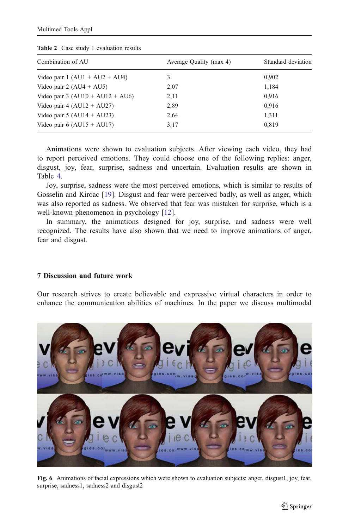| ------ - - --- - -----             |                         |                    |  |  |  |
|------------------------------------|-------------------------|--------------------|--|--|--|
| Combination of AU                  | Average Quality (max 4) | Standard deviation |  |  |  |
| Video pair $1 (AU1 + AU2 + AU4)$   | 3                       | 0,902              |  |  |  |
| Video pair $2 (AU4 + AU5)$         | 2,07                    | 1,184              |  |  |  |
| Video pair $3 (AU10 + AU12 + AU6)$ | 2,11                    | 0,916              |  |  |  |
| Video pair 4 (AU12 + AU27)         | 2,89                    | 0,916              |  |  |  |
| Video pair 5 $(AU14 + AU23)$       | 2,64                    | 1,311              |  |  |  |
| Video pair 6 (AU15 + AU17)         | 3,17                    | 0,819              |  |  |  |

<span id="page-16-0"></span>Table 2 Case study 1 evaluation results

Animations were shown to evaluation subjects. After viewing each video, they had to report perceived emotions. They could choose one of the following replies: anger, disgust, joy, fear, surprise, sadness and uncertain. Evaluation results are shown in Table [4.](#page-17-0)

Joy, surprise, sadness were the most perceived emotions, which is similar to results of Gosselin and Kiroac [\[19\]](#page-19-0). Disgust and fear were perceived badly, as well as anger, which was also reported as sadness. We observed that fear was mistaken for surprise, which is a well-known phenomenon in psychology [[12](#page-18-0)].

In summary, the animations designed for joy, surprise, and sadness were well recognized. The results have also shown that we need to improve animations of anger, fear and disgust.

### 7 Discussion and future work

Our research strives to create believable and expressive virtual characters in order to enhance the communication abilities of machines. In the paper we discuss multimodal



Fig. 6 Animations of facial expressions which were shown to evaluation subjects: anger, disgust1, joy, fear, surprise, sadness1, sadness2 and disgust2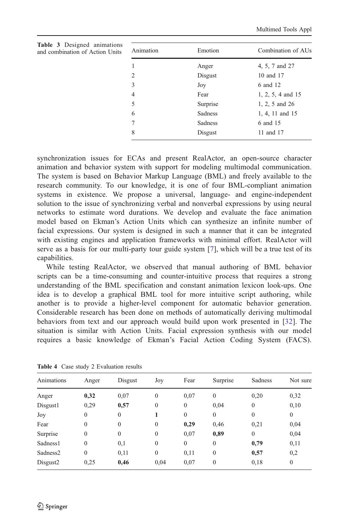| nimations<br>tion Units | Animation      | Emotion  | Combination of AUs |
|-------------------------|----------------|----------|--------------------|
|                         | 1              | Anger    | 4, 5, 7 and 27     |
|                         | $\overline{2}$ | Disgust  | 10 and 17          |
|                         | 3              | Joy      | 6 and 12           |
|                         | 4              | Fear     | 1, 2, 5, 4 and 15  |
|                         | 5              | Surprise | 1, 2, 5 and 26     |
|                         | 6              | Sadness  | 1, 4, 11 and 15    |
|                         | 7              | Sadness  | 6 and 15           |
|                         | 8              | Disgust  | 11 and 17          |
|                         |                |          |                    |

<span id="page-17-0"></span>Table 3 Designed an and combination of Ac

synchronization issues for ECAs and present RealActor, an open-source character animation and behavior system with support for modeling multimodal communication. The system is based on Behavior Markup Language (BML) and freely available to the research community. To our knowledge, it is one of four BML-compliant animation systems in existence. We propose a universal, language- and engine-independent solution to the issue of synchronizing verbal and nonverbal expressions by using neural networks to estimate word durations. We develop and evaluate the face animation model based on Ekman's Action Units which can synthesize an infinite number of facial expressions. Our system is designed in such a manner that it can be integrated with existing engines and application frameworks with minimal effort. RealActor will serve as a basis for our multi-party tour guide system [[7](#page-18-0)], which will be a true test of its capabilities.

While testing RealActor, we observed that manual authoring of BML behavior scripts can be a time-consuming and counter-intuitive process that requires a strong understanding of the BML specification and constant animation lexicon look-ups. One idea is to develop a graphical BML tool for more intuitive script authoring, while another is to provide a higher-level component for automatic behavior generation. Considerable research has been done on methods of automatically deriving multimodal behaviors from text and our approach would build upon work presented in [[32\]](#page-19-0). The situation is similar with Action Units. Facial expression synthesis with our model requires a basic knowledge of Ekman's Facial Action Coding System (FACS).

| Animations           | Anger    | Disgust      | Joy          | Fear         | Surprise     | Sadness      | Not sure     |
|----------------------|----------|--------------|--------------|--------------|--------------|--------------|--------------|
| Anger                | 0,32     | 0,07         | $\mathbf{0}$ | 0,07         | $\mathbf{0}$ | 0,20         | 0,32         |
| Disgust1             | 0.29     | 0,57         | $\mathbf{0}$ | $\mathbf{0}$ | 0,04         | $\mathbf{0}$ | 0,10         |
| Joy                  | $\Omega$ | $\mathbf{0}$ | 1            | $\mathbf{0}$ | $\mathbf{0}$ | $\mathbf{0}$ | $\mathbf{0}$ |
| Fear                 | $\theta$ | $\mathbf{0}$ | $\mathbf{0}$ | 0,29         | 0,46         | 0,21         | 0,04         |
| Surprise             | $\theta$ | $\mathbf{0}$ | $\mathbf{0}$ | 0,07         | 0,89         | $\mathbf{0}$ | 0,04         |
| Sadness <sub>1</sub> | $\theta$ | 0,1          | $\mathbf{0}$ | $\mathbf{0}$ | $\mathbf{0}$ | 0,79         | 0,11         |
| Sadness <sub>2</sub> | $\theta$ | 0,11         | $\mathbf{0}$ | 0,11         | $\mathbf{0}$ | 0,57         | 0,2          |
| Disgust <sub>2</sub> | 0,25     | 0,46         | 0,04         | 0,07         | $\mathbf{0}$ | 0,18         | $\mathbf{0}$ |

Table 4 Case study 2 Evaluation results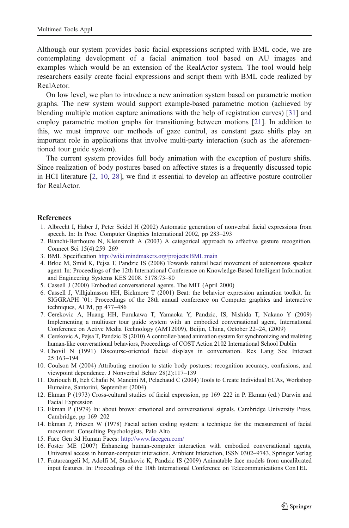<span id="page-18-0"></span>Although our system provides basic facial expressions scripted with BML code, we are contemplating development of a facial animation tool based on AU images and examples which would be an extension of the RealActor system. The tool would help researchers easily create facial expressions and script them with BML code realized by RealActor.

On low level, we plan to introduce a new animation system based on parametric motion graphs. The new system would support example-based parametric motion (achieved by blending multiple motion capture animations with the help of registration curves) [[31\]](#page-19-0) and employ parametric motion graphs for transitioning between motions [\[21\]](#page-19-0). In addition to this, we must improve our methods of gaze control, as constant gaze shifts play an important role in applications that involve multi-party interaction (such as the aforementioned tour guide system).

The current system provides full body animation with the exception of posture shifts. Since realization of body postures based on affective states is a frequently discussed topic in HCI literature [2, 10, [28\]](#page-19-0), we find it essential to develop an affective posture controller for RealActor.

#### References

- 1. Albrecht I, Haber J, Peter Seidel H (2002) Automatic generation of nonverbal facial expressions from speech. In: In Proc. Computer Graphics International 2002, pp 283–293
- 2. Bianchi-Berthouze N, Kleinsmith A (2003) A categorical approach to affective gesture recognition. Connect Sci 15(4):259–269
- 3. BML Specification <http://wiki.mindmakers.org/projects:BML:main>
- 4. Brkic M, Smid K, Pejsa T, Pandzic IS (2008) Towards natural head movement of autonomous speaker agent. In: Proceedings of the 12th International Conference on Knowledge-Based Intelligent Information and Engineering Systems KES 2008. 5178:73–80
- 5. Cassell J (2000) Embodied conversational agents. The MIT (April 2000)
- 6. Cassell J, Vilhjalmsson HH, Bickmore T (2001) Beat: the behavior expression animation toolkit. In: SIGGRAPH '01: Proceedings of the 28th annual conference on Computer graphics and interactive techniques, ACM, pp 477–486
- 7. Cerekovic A, Huang HH, Furukawa T, Yamaoka Y, Pandzic, IS, Nishida T, Nakano Y (2009) Implementing a multiuser tour guide system with an embodied conversational agent, International Conference on Active Media Technology (AMT2009), Beijin, China, October 22–24, (2009)
- 8. Cerekovic A, Pejsa T, Pandzic IS (2010) A controller-based animation system for synchronizing and realizing human-like conversational behaviors, Proceedings of COST Action 2102 International School Dublin
- 9. Chovil N (1991) Discourse-oriented facial displays in conversation. Res Lang Soc Interact 25:163–194
- 10. Coulson M (2004) Attributing emotion to static body postures: recognition accuracy, confusions, and viewpoint dependence. J Nonverbal Behav 28(2):117–139
- 11. Dariouch B, Ech Chafai N, Mancini M, Pelachaud C (2004) Tools to Create Individual ECAs, Workshop Humaine, Santorini, September (2004)
- 12. Ekman P (1973) Cross-cultural studies of facial expression, pp 169–222 in P. Ekman (ed.) Darwin and Facial Expression
- 13. Ekman P (1979) In: about brows: emotional and conversational signals. Cambridge University Press, Cambridge, pp 169–202
- 14. Ekman P, Friesen W (1978) Facial action coding system: a technique for the measurement of facial movement. Consulting Psychologists, Palo Alto
- 15. Face Gen 3d Human Faces: <http://www.facegen.com/>
- 16. Foster ME (2007) Enhancing human-computer interaction with embodied conversational agents, Universal access in human-computer interaction. Ambient Interaction, ISSN 0302–9743, Springer Verlag
- 17. Fratarcangeli M, Adolfi M, Stankovic K, Pandzic IS (2009) Animatable face models from uncalibrated input features. In: Proceedings of the 10th International Conference on Telecommunications ConTEL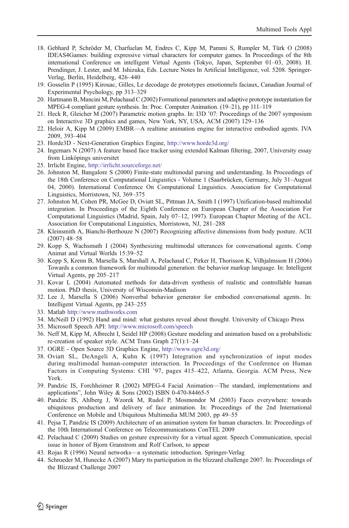- <span id="page-19-0"></span>18. Gebhard P, Schröder M, Charfuelan M, Endres C, Kipp M, Pammi S, Rumpler M, Türk O (2008) IDEAS4Games: building expressive virtual characters for computer games. In Proceedings of the 8th international Conference on intelligent Virtual Agents (Tokyo, Japan, September 01–03, 2008). H. Prendinger, J. Lester, and M. Ishizuka, Eds. Lecture Notes In Artificial Intelligence, vol. 5208. Springer-Verlag, Berlin, Heidelberg, 426–440
- 19. Gosselin P (1995) Kirouac, Gilles, Le decodage de prototypes emotionnels faciaux, Canadian Journal of Experimental Psychology, pp 313–329
- 20. Hartmann B, Mancini M, Pelachaud C (2002) Formational parameters and adaptive prototype instantiation for MPEG-4 compliant gesture synthesis. In: Proc. Computer Animation. (19–21), pp 111–119
- 21. Heck R, Gleicher M (2007) Parametric motion graphs. In: I3D '07: Proceedings of the 2007 symposium on Interactive 3D graphics and games, New York, NY, USA, ACM (2007) 129–136
- 22. Heloir A, Kipp M (2009) EMBR—A realtime animation engine for interactive embodied agents. IVA 2009, 393–404
- 23. Horde3D Next-Generation Graphics Engine, <http://www.horde3d.org/>
- 24. Ingemars N (2007) A feature based face tracker using extended Kalman filtering, 2007, University essay from Linköpings universitet
- 25. Irrlicht Engine, <http://irrlicht.sourceforge.net/>
- 26. Johnston M, Bangalore S (2000) Finite-state multimodal parsing and understanding. In Proceedings of the 18th Conference on Computational Linguistics - Volume 1 (Saarbrücken, Germany, July 31–August 04, 2000). International Conference On Computational Linguistics. Association for Computational Linguistics, Morristown, NJ, 369–375
- 27. Johnston M, Cohen PR, McGee D, Oviatt SL, Pittman JA, Smith I (1997) Unification-based multimodal integration. In Proceedings of the Eighth Conference on European Chapter of the Association For Computational Linguistics (Madrid, Spain, July 07–12, 1997). European Chapter Meeting of the ACL. Association for Computational Linguistics, Morristown, NJ, 281–288
- 28. Kleinsmith A, Bianchi-Berthouze N (2007) Recognizing affective dimensions from body posture. ACII (2007) 48–58
- 29. Kopp S, Wachsmuth I (2004) Synthesizing multimodal utterances for conversational agents. Comp Animat and Virtual Worlds 15:39–52
- 30. Kopp S, Krenn B, Marsella S, Marshall A, Pelachaud C, Pirker H, Thorisson K, Vilhjalmsson H (2006) Towards a common framework for multimodal generation: the behavior markup language. In: Intelligent Virtual Agents, pp 205–217
- 31. Kovar L (2004) Automated methods for data-driven synthesis of realistic and controllable human motion. PhD thesis, University of Wisconsin-Madison
- 32. Lee J, Marsella S (2006) Nonverbal behavior generator for embodied conversational agents. In: Intelligent Virtual Agents, pp 243–255
- 33. Matlab <http://www.mathworks.com>
- 34. McNeill D (1992) Hand and mind: what gestures reveal about thought. University of Chicago Press
- 35. Microsoft Speech API: <http://www.microsoft.com/speech>
- 36. Neff M, Kipp M, Albrecht I, Seidel HP (2008) Gesture modeling and animation based on a probabilistic re-creation of speaker style. ACM Trans Graph 27(1):1–24
- 37. OGRE Open Source 3D Graphics Engine, <http://www.ogre3d.org/>
- 38. Oviatt SL, DeAngeli A, Kuhn K (1997) Integration and synchronization of input modes during multimodal human-computer interaction. In Proceedings of the Conference on Human Factors in Computing Systems: CHI '97, pages 415–422, Atlanta, Georgia. ACM Press, New York.
- 39. Pandzic IS, Forchheimer R (2002) MPEG-4 Facial Animation—The standard, implementations and applications", John Wiley & Sons (2002) ISBN 0-470-84465-5
- 40. Pandzic IS, Ahlberg J, Wzorek M, Rudol P, Mosmondor M (2003) Faces everywhere: towards ubiquitous production and delivery of face animation. In: Proceedings of the 2nd International Conference on Mobile and Ubiquitous Multimedia MUM 2003, pp 49–55
- 41. Pejsa T, Pandzic IS (2009) Architecture of an animation system for human characters. In: Proceedings of the 10th International Conference on Telecommunications ConTEL 2009
- 42. Pelachaud C (2009) Studies on gesture expressivity for a virtual agent. Speech Communication, special issue in honor of Bjorn Granstrom and Rolf Carlson, to appear
- 43. Rojas R (1996) Neural networks—a systematic introduction. Springer-Verlag
- 44. Schroeder M, Hunecke A (2007) Mary tts participation in the blizzard challenge 2007. In: Proceedings of the Blizzard Challenge 2007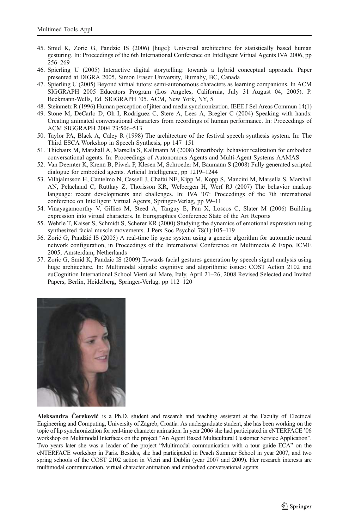- <span id="page-20-0"></span>45. Smid K, Zoric G, Pandzic IS (2006) [huge]: Universal architecture for statistically based human gesturing. In: Proceedings of the 6th International Conference on Intelligent Virtual Agents IVA 2006, pp 256–269
- 46. Spierling U (2005) Interactive digital storytelling: towards a hybrid conceptual approach. Paper presented at DIGRA 2005, Simon Fraser University, Burnaby, BC, Canada
- 47. Spierling U (2005) Beyond virtual tutors: semi-autonomous characters as learning companions. In ACM SIGGRAPH 2005 Educators Program (Los Angeles, California, July 31–August 04, 2005). P. Beckmann-Wells, Ed. SIGGRAPH '05. ACM, New York, NY, 5
- 48. Steinmetz R (1996) Human perception of jitter and media synchronization. IEEE J Sel Areas Commun 14(1)
- 49. Stone M, DeCarlo D, Oh I, Rodriguez C, Stere A, Lees A, Bregler C (2004) Speaking with hands: Creating animated conversational characters from recordings of human performance. In: Proceedings of ACM SIGGRAPH 2004 23:506–513
- 50. Taylor PA, Black A, Caley R (1998) The architecture of the festival speech synthesis system. In: The Third ESCA Workshop in Speech Synthesis, pp 147–151
- 51. Thiebaux M, Marshall A, Marsella S, Kallmann M (2008) Smartbody: behavior realization for embodied conversational agents. In: Proceedings of Autonomous Agents and Multi-Agent Systems AAMAS
- 52. Van Deemter K, Krenn B, Piwek P, Klesen M, Schroeder M, Baumann S (2008) Fully generated scripted dialogue for embodied agents. Articial Intelligence, pp 1219–1244
- 53. Vilhjalmsson H, Cantelmo N, Cassell J, Chafai NE, Kipp M, Kopp S, Mancini M, Marsella S, Marshall AN, Pelachaud C, Ruttkay Z, Thorisson KR, Welbergen H, Werf RJ (2007) The behavior markup language: recent developments and challenges. In: IVA '07: Proceedings of the 7th international conference on Intelligent Virtual Agents, Springer-Verlag, pp 99–11
- 54. Vinayagamoorthy V, Gillies M, Steed A, Tanguy E, Pan X, Loscos C, Slater M (2006) Building expression into virtual characters. In Eurographics Conference State of the Art Reports
- 55. Wehrle T, Kaiser S, Schmidt S, Scherer KR (2000) Studying the dynamics of emotional expression using synthesized facial muscle movements. J Pers Soc Psychol 78(1):105–119
- 56. Zorić G, Pandžić IS (2005) A real-time lip sync system using a genetic algorithm for automatic neural network configuration, in Proceedings of the International Conference on Multimedia & Expo, ICME 2005, Amsterdam, Netherlands
- 57. Zoric G, Smid K, Pandzic IS (2009) Towards facial gestures generation by speech signal analysis using huge architecture. In: Multimodal signals: cognitive and algorithmic issues: COST Action 2102 and euCognition International School Vietri sul Mare, Italy, April 21–26, 2008 Revised Selected and Invited Papers, Berlin, Heidelberg, Springer-Verlag, pp 112–120



Aleksandra Čereković is a Ph.D. student and research and teaching assistant at the Faculty of Electrical Engineering and Computing, University of Zagreb, Croatia. As undergraduate student, she has been working on the topic of lip synchronization for real-time character animation. In year 2006 she had participated in eNTERFACE '06 workshop on Multimodal Interfaces on the project "An Agent Based Multicultural Customer Service Application". Two years later she was a leader of the project "Multimodal communication with a tour guide ECA" on the eNTERFACE workshop in Paris. Besides, she had participated in Peach Summer School in year 2007, and two spring schools of the COST 2102 action in Vietri and Dublin (year 2007 and 2009). Her research interests are multimodal communication, virtual character animation and embodied conversational agents.